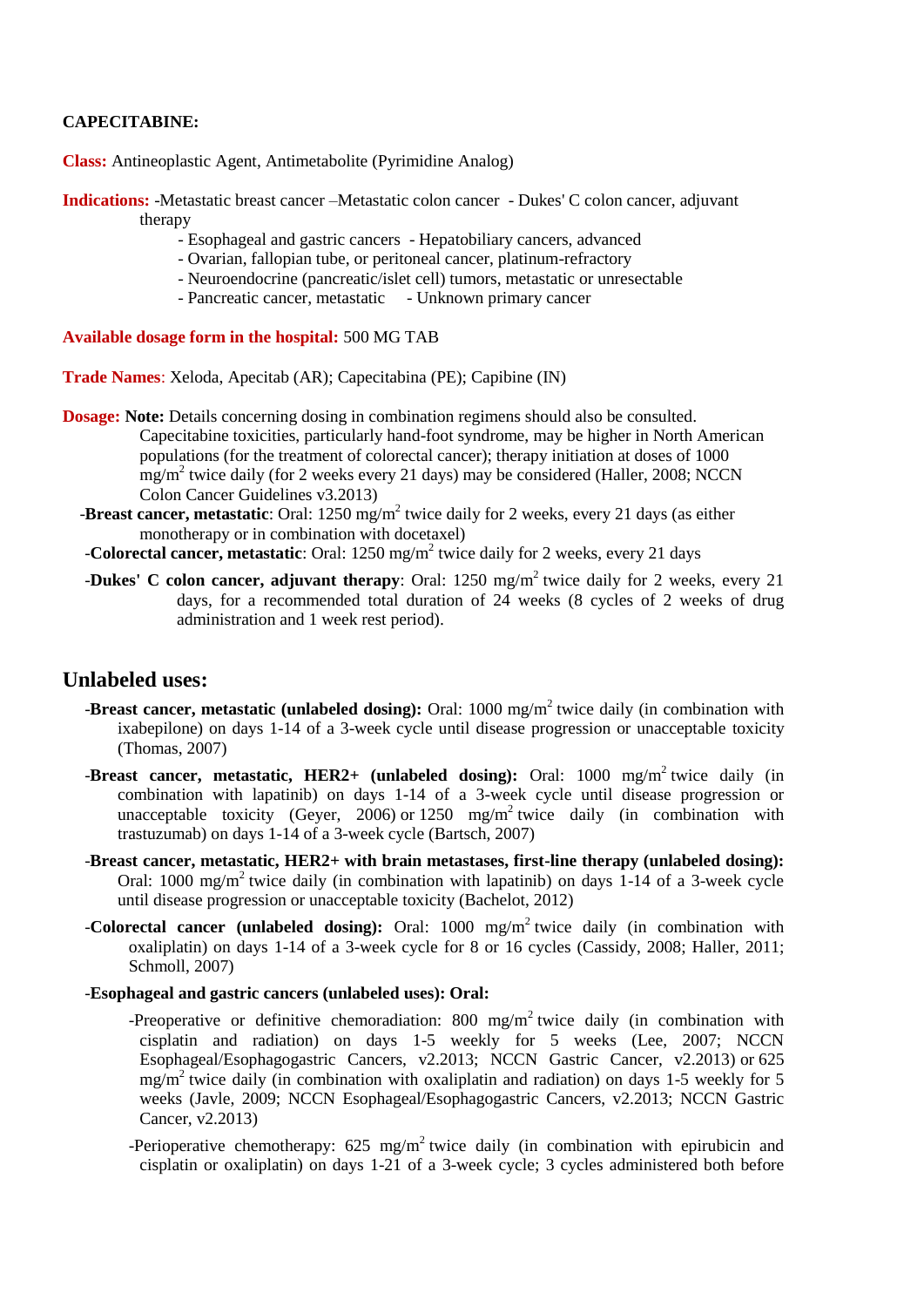## **CAPECITABINE:**

**Class:** Antineoplastic Agent, Antimetabolite (Pyrimidine Analog)

**Indications:** -Metastatic breast cancer –Metastatic colon cancer - Dukes' C colon cancer, adjuvant therapy

- Esophageal and gastric cancers Hepatobiliary cancers, advanced
- Ovarian, fallopian tube, or peritoneal cancer, platinum-refractory
- Neuroendocrine (pancreatic/islet cell) tumors, metastatic or unresectable
- Pancreatic cancer, metastatic Unknown primary cancer

**Available dosage form in the hospital:** 500 MG TAB

**Trade Names**: Xeloda, Apecitab (AR); Capecitabina (PE); Capibine (IN)

- **Dosage: Note:** Details concerning dosing in combination regimens should also be consulted. Capecitabine toxicities, particularly hand-foot syndrome, may be higher in North American populations (for the treatment of colorectal cancer); therapy initiation at doses of 1000 mg/m<sup>2</sup> twice daily (for 2 weeks every 21 days) may be considered (Haller, 2008; NCCN Colon Cancer Guidelines v3.2013)
- **-Breast cancer, metastatic**: Oral: 1250 mg/m<sup>2</sup> twice daily for 2 weeks, every 21 days (as either monotherapy or in combination with docetaxel)
	- -**Colorectal cancer, metastatic**: Oral: 1250 mg/m<sup>2</sup> twice daily for 2 weeks, every 21 days
	- **-Dukes' C colon cancer, adjuvant therapy**: Oral: 1250 mg/m<sup>2</sup> twice daily for 2 weeks, every 21 days, for a recommended total duration of 24 weeks (8 cycles of 2 weeks of drug administration and 1 week rest period).

# **Unlabeled uses:**

- **-Breast cancer, metastatic (unlabeled dosing):** Oral: 1000 mg/m<sup>2</sup> twice daily (in combination with ixabepilone) on days 1-14 of a 3-week cycle until disease progression or unacceptable toxicity (Thomas, 2007)
- **-Breast cancer, metastatic, HER2+ (unlabeled dosing):** Oral: 1000 mg/m<sup>2</sup> twice daily (in combination with lapatinib) on days 1-14 of a 3-week cycle until disease progression or unacceptable toxicity (Geyer, 2006) or 1250 mg/m<sup>2</sup> twice daily (in combination with trastuzumab) on days 1-14 of a 3-week cycle (Bartsch, 2007)
- -**Breast cancer, metastatic, HER2+ with brain metastases, first-line therapy (unlabeled dosing):** Oral: 1000 mg/m<sup>2</sup> twice daily (in combination with lapatinib) on days 1-14 of a 3-week cycle until disease progression or unacceptable toxicity (Bachelot, 2012)
- -**Colorectal cancer (unlabeled dosing):** Oral: 1000 mg/m<sup>2</sup> twice daily (in combination with oxaliplatin) on days 1-14 of a 3-week cycle for 8 or 16 cycles (Cassidy, 2008; Haller, 2011; Schmoll, 2007)

#### -**Esophageal and gastric cancers (unlabeled uses): Oral:**

- -Preoperative or definitive chemoradiation: 800 mg/m<sup>2</sup> twice daily (in combination with cisplatin and radiation) on days 1-5 weekly for 5 weeks (Lee, 2007; NCCN Esophageal/Esophagogastric Cancers, v2.2013; NCCN Gastric Cancer, v2.2013) or 625 mg/m<sup>2</sup> twice daily (in combination with oxaliplatin and radiation) on days 1-5 weekly for 5 weeks (Javle, 2009; NCCN Esophageal/Esophagogastric Cancers, v2.2013; NCCN Gastric Cancer, v2.2013)
- -Perioperative chemotherapy:  $625 \text{ mg/m}^2$  twice daily (in combination with epirubicin and cisplatin or oxaliplatin) on days 1-21 of a 3-week cycle; 3 cycles administered both before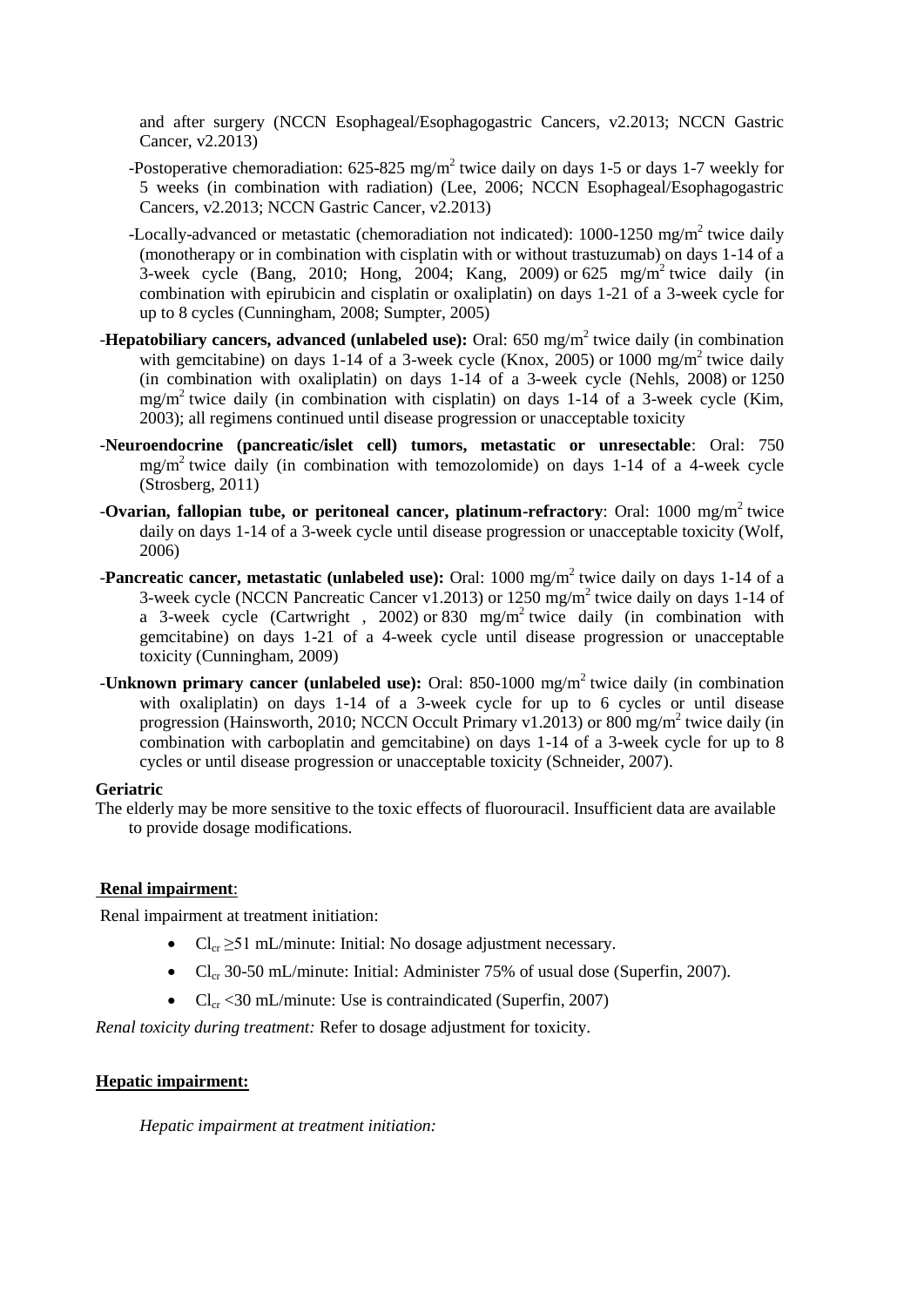and after surgery (NCCN Esophageal/Esophagogastric Cancers, v2.2013; NCCN Gastric Cancer, v2.2013)

- -Postoperative chemoradiation:  $625-825$  mg/m<sup>2</sup> twice daily on days 1-5 or days 1-7 weekly for 5 weeks (in combination with radiation) (Lee, 2006; NCCN Esophageal/Esophagogastric Cancers, v2.2013; NCCN Gastric Cancer, v2.2013)
- -Locally-advanced or metastatic (chemoradiation not indicated): 1000-1250 mg/m<sup>2</sup> twice daily (monotherapy or in combination with cisplatin with or without trastuzumab) on days 1-14 of a 3-week cycle (Bang, 2010; Hong, 2004; Kang, 2009) or  $625 \text{ mg/m}^2$  twice daily (in combination with epirubicin and cisplatin or oxaliplatin) on days 1-21 of a 3-week cycle for up to 8 cycles (Cunningham, 2008; Sumpter, 2005)
- **-Hepatobiliary cancers, advanced (unlabeled use):** Oral: 650 mg/m<sup>2</sup> twice daily (in combination with gemcitabine) on days 1-14 of a 3-week cycle (Knox, 2005) or 1000 mg/m<sup>2</sup> twice daily (in combination with oxaliplatin) on days 1-14 of a 3-week cycle (Nehls, 2008) or 1250 mg/m<sup>2</sup> twice daily (in combination with cisplatin) on days 1-14 of a 3-week cycle (Kim, 2003); all regimens continued until disease progression or unacceptable toxicity
- -**Neuroendocrine (pancreatic/islet cell) tumors, metastatic or unresectable**: Oral: 750 mg/m<sup>2</sup> twice daily (in combination with temozolomide) on days 1-14 of a 4-week cycle (Strosberg, 2011)
- **-Ovarian, fallopian tube, or peritoneal cancer, platinum-refractory**: Oral: 1000 mg/m<sup>2</sup> twice daily on days 1-14 of a 3-week cycle until disease progression or unacceptable toxicity (Wolf, 2006)
- **-Pancreatic cancer, metastatic (unlabeled use):** Oral: 1000 mg/m<sup>2</sup> twice daily on days 1-14 of a 3-week cycle (NCCN Pancreatic Cancer v1.2013) or  $1250 \text{ mg/m}^2$  twice daily on days 1-14 of a 3-week cycle (Cartwright, 2002) or 830 mg/m<sup>2</sup> twice daily (in combination with gemcitabine) on days 1-21 of a 4-week cycle until disease progression or unacceptable toxicity (Cunningham, 2009)
- **-Unknown primary cancer (unlabeled use):** Oral: 850-1000 mg/m<sup>2</sup> twice daily (in combination with oxaliplatin) on days 1-14 of a 3-week cycle for up to 6 cycles or until disease progression (Hainsworth, 2010; NCCN Occult Primary v1.2013) or 800 mg/m<sup>2</sup> twice daily (in combination with carboplatin and gemcitabine) on days 1-14 of a 3-week cycle for up to 8 cycles or until disease progression or unacceptable toxicity (Schneider, 2007).

## **Geriatric**

The elderly may be more sensitive to the toxic effects of fluorouracil. Insufficient data are available to provide dosage modifications.

## **Renal impairment**:

Renal impairment at treatment initiation:

- $Cl_{cr} \geq 51$  mL/minute: Initial: No dosage adjustment necessary.
- $Cl_{cr}$  30-50 mL/minute: Initial: Administer 75% of usual dose (Superfin, 2007).
- $Cl_{cr}$  <30 mL/minute: Use is contraindicated (Superfin, 2007)

*Renal toxicity during treatment:* Refer to dosage adjustment for toxicity.

## **Hepatic impairment:**

*Hepatic impairment at treatment initiation:*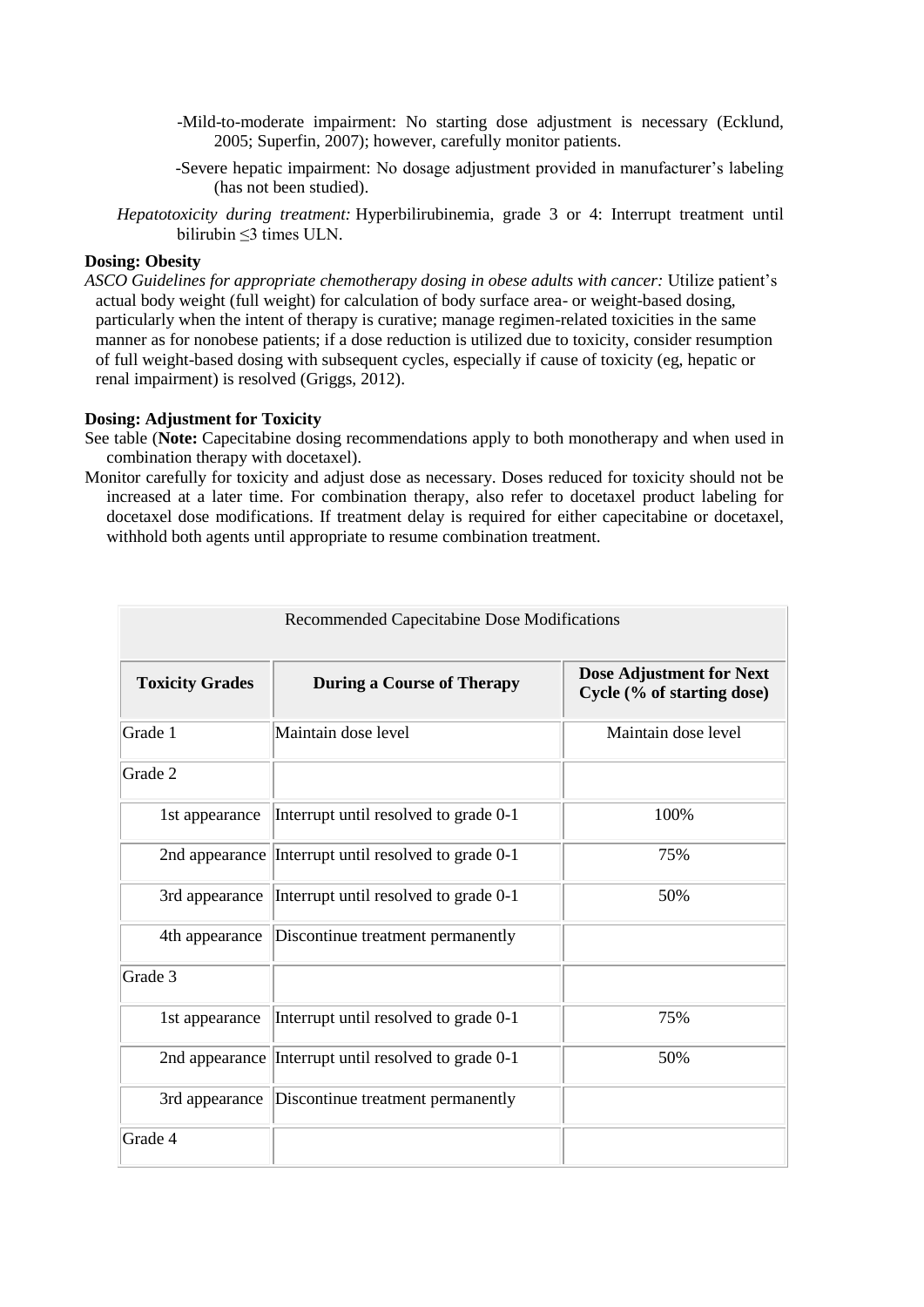- -Mild-to-moderate impairment: No starting dose adjustment is necessary (Ecklund, 2005; Superfin, 2007); however, carefully monitor patients.
- -Severe hepatic impairment: No dosage adjustment provided in manufacturer's labeling (has not been studied).
- *Hepatotoxicity during treatment:* Hyperbilirubinemia, grade 3 or 4: Interrupt treatment until bilirubin ≤3 times ULN.

#### **Dosing: Obesity**

*ASCO Guidelines for appropriate chemotherapy dosing in obese adults with cancer:* Utilize patient's actual body weight (full weight) for calculation of body surface area- or weight-based dosing, particularly when the intent of therapy is curative; manage regimen-related toxicities in the same manner as for nonobese patients; if a dose reduction is utilized due to toxicity, consider resumption of full weight-based dosing with subsequent cycles, especially if cause of toxicity (eg, hepatic or renal impairment) is resolved (Griggs, 2012).

## **Dosing: Adjustment for Toxicity**

See table (**Note:** Capecitabine dosing recommendations apply to both monotherapy and when used in combination therapy with docetaxel).

Monitor carefully for toxicity and adjust dose as necessary. Doses reduced for toxicity should not be increased at a later time. For combination therapy, also refer to docetaxel product labeling for docetaxel dose modifications. If treatment delay is required for either capecitabine or docetaxel, withhold both agents until appropriate to resume combination treatment.

| Recommended Capecitabine Dose Modifications |                                                      |                                                               |  |
|---------------------------------------------|------------------------------------------------------|---------------------------------------------------------------|--|
| <b>Toxicity Grades</b>                      | <b>During a Course of Therapy</b>                    | <b>Dose Adjustment for Next</b><br>Cycle (% of starting dose) |  |
| Grade 1                                     | Maintain dose level                                  | Maintain dose level                                           |  |
| Grade 2                                     |                                                      |                                                               |  |
| 1st appearance                              | Interrupt until resolved to grade 0-1                | 100%                                                          |  |
|                                             | 2nd appearance Interrupt until resolved to grade 0-1 | 75%                                                           |  |
| 3rd appearance                              | Interrupt until resolved to grade 0-1                | 50%                                                           |  |
| 4th appearance                              | Discontinue treatment permanently                    |                                                               |  |
| Grade 3                                     |                                                      |                                                               |  |
| 1st appearance                              | Interrupt until resolved to grade 0-1                | 75%                                                           |  |
|                                             | 2nd appearance Interrupt until resolved to grade 0-1 | 50%                                                           |  |
| 3rd appearance                              | Discontinue treatment permanently                    |                                                               |  |
| Grade 4                                     |                                                      |                                                               |  |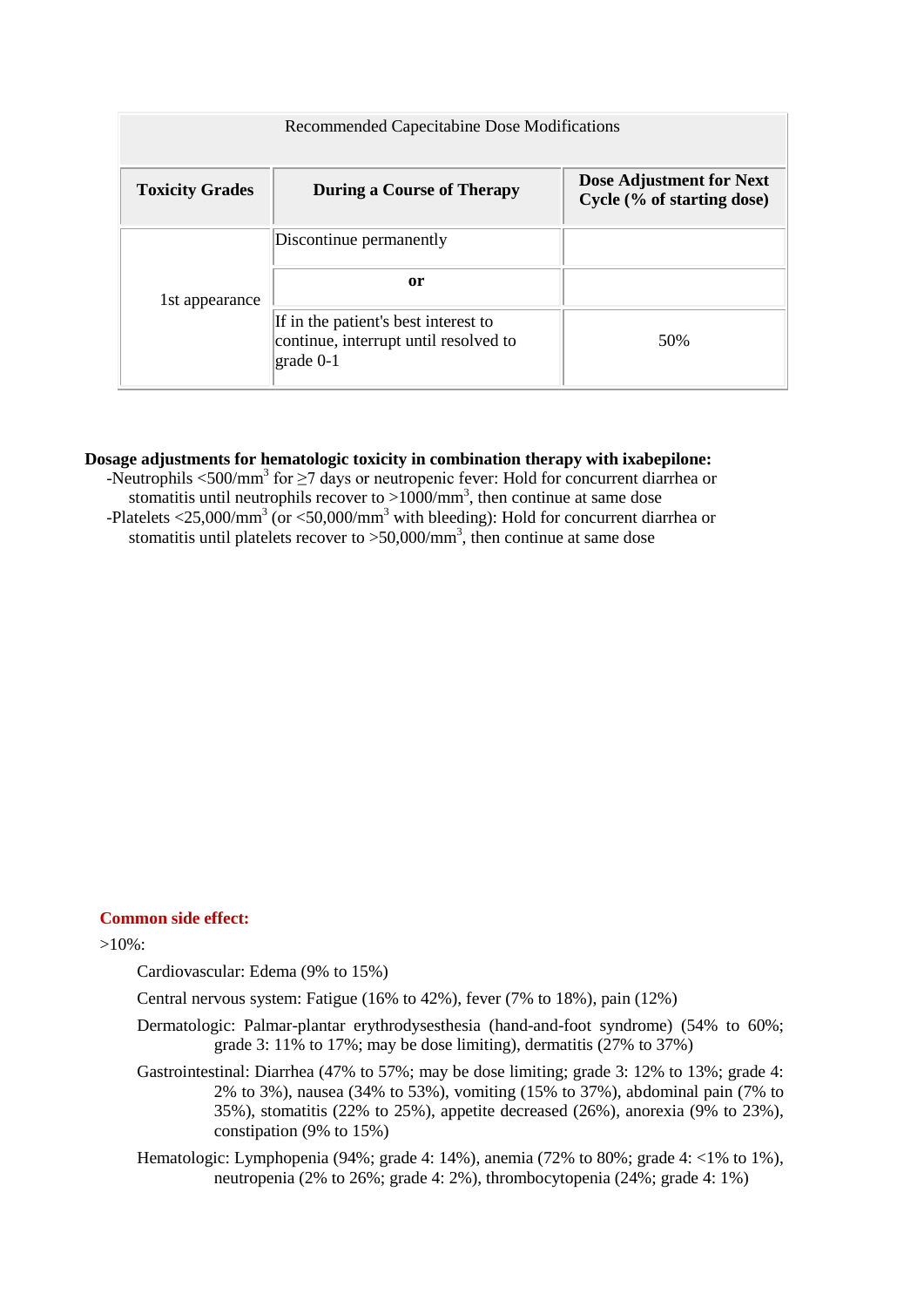| Recommended Capecitabine Dose Modifications |                                                                                                                                   |                                                        |  |
|---------------------------------------------|-----------------------------------------------------------------------------------------------------------------------------------|--------------------------------------------------------|--|
| <b>Toxicity Grades</b>                      | <b>During a Course of Therapy</b>                                                                                                 | Dose Adjustment for Next<br>Cycle (% of starting dose) |  |
| 1st appearance                              | Discontinue permanently                                                                                                           |                                                        |  |
|                                             | or                                                                                                                                |                                                        |  |
|                                             | If in the patient's best interest to<br>continue, interrupt until resolved to<br>$\left\vert \text{grade}\ 0\text{-}1\right\vert$ | 50%                                                    |  |

## **Dosage adjustments for hematologic toxicity in combination therapy with ixabepilone:**

-Neutrophils <500/mm<sup>3</sup> for  $\geq$ 7 days or neutropenic fever: Hold for concurrent diarrhea or stomatitis until neutrophils recover to  $>1000/\text{mm}^3$ , then continue at same dose -Platelets  $\langle 25,000/\text{mm}^3$  (or  $\langle 50,000/\text{mm}^3$  with bleeding): Hold for concurrent diarrhea or stomatitis until platelets recover to  $> 50,000/\text{mm}^3$ , then continue at same dose

## **Common side effect:**

>10%:

Cardiovascular: Edema (9% to 15%)

Central nervous system: Fatigue (16% to 42%), fever (7% to 18%), pain (12%)

- Dermatologic: Palmar-plantar erythrodysesthesia (hand-and-foot syndrome) (54% to 60%; grade 3: 11% to 17%; may be dose limiting), dermatitis (27% to 37%)
- Gastrointestinal: Diarrhea (47% to 57%; may be dose limiting; grade 3: 12% to 13%; grade 4: 2% to 3%), nausea (34% to 53%), vomiting (15% to 37%), abdominal pain (7% to 35%), stomatitis (22% to 25%), appetite decreased (26%), anorexia (9% to 23%), constipation (9% to 15%)
- Hematologic: Lymphopenia (94%; grade 4: 14%), anemia (72% to 80%; grade 4: <1% to 1%), neutropenia (2% to 26%; grade 4: 2%), thrombocytopenia (24%; grade 4: 1%)